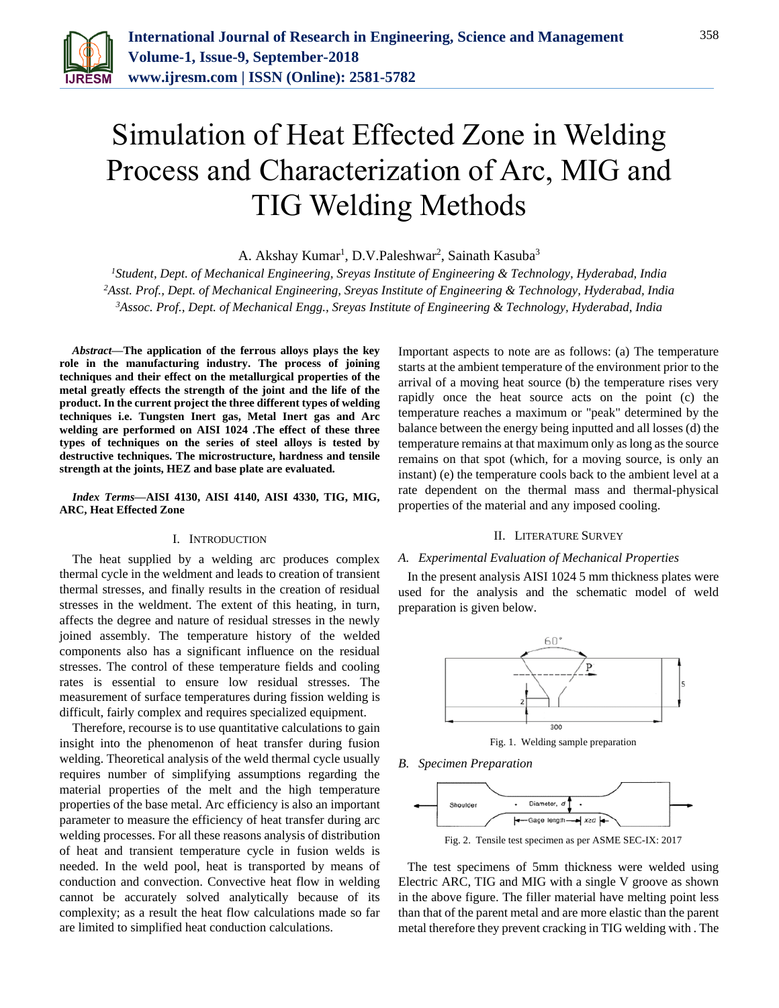

# Simulation of Heat Effected Zone in Welding Process and Characterization of Arc, MIG and TIG Welding Methods

A. Akshay Kumar<sup>1</sup>, D.V.Paleshwar<sup>2</sup>, Sainath Kasuba<sup>3</sup>

*<sup>1</sup>Student, Dept. of Mechanical Engineering, Sreyas Institute of Engineering & Technology, Hyderabad, India <sup>2</sup>Asst. Prof., Dept. of Mechanical Engineering, Sreyas Institute of Engineering & Technology, Hyderabad, India 3Assoc. Prof., Dept. of Mechanical Engg., Sreyas Institute of Engineering & Technology, Hyderabad, India*

*Abstract***—The application of the ferrous alloys plays the key role in the manufacturing industry. The process of joining techniques and their effect on the metallurgical properties of the metal greatly effects the strength of the joint and the life of the product. In the current project the three different types of welding techniques i.e. Tungsten Inert gas, Metal Inert gas and Arc welding are performed on AISI 1024 .The effect of these three types of techniques on the series of steel alloys is tested by destructive techniques. The microstructure, hardness and tensile strength at the joints, HEZ and base plate are evaluated.**

*Index Terms***—AISI 4130, AISI 4140, AISI 4330, TIG, MIG, ARC, Heat Effected Zone**

### I. INTRODUCTION

The heat supplied by a welding arc produces complex thermal cycle in the weldment and leads to creation of transient thermal stresses, and finally results in the creation of residual stresses in the weldment. The extent of this heating, in turn, affects the degree and nature of residual stresses in the newly joined assembly. The temperature history of the welded components also has a significant influence on the residual stresses. The control of these temperature fields and cooling rates is essential to ensure low residual stresses. The measurement of surface temperatures during fission welding is difficult, fairly complex and requires specialized equipment.

Therefore, recourse is to use quantitative calculations to gain insight into the phenomenon of heat transfer during fusion welding. Theoretical analysis of the weld thermal cycle usually requires number of simplifying assumptions regarding the material properties of the melt and the high temperature properties of the base metal. Arc efficiency is also an important parameter to measure the efficiency of heat transfer during arc welding processes. For all these reasons analysis of distribution of heat and transient temperature cycle in fusion welds is needed. In the weld pool, heat is transported by means of conduction and convection. Convective heat flow in welding cannot be accurately solved analytically because of its complexity; as a result the heat flow calculations made so far are limited to simplified heat conduction calculations.

Important aspects to note are as follows: (a) The temperature starts at the ambient temperature of the environment prior to the arrival of a moving heat source (b) the temperature rises very rapidly once the heat source acts on the point (c) the temperature reaches a maximum or "peak" determined by the balance between the energy being inputted and all losses (d) the temperature remains at that maximum only as long as the source remains on that spot (which, for a moving source, is only an instant) (e) the temperature cools back to the ambient level at a rate dependent on the thermal mass and thermal-physical properties of the material and any imposed cooling.

#### II. LITERATURE SURVEY

### *A. Experimental Evaluation of Mechanical Properties*

In the present analysis AISI 1024 5 mm thickness plates were used for the analysis and the schematic model of weld preparation is given below.



*B. Specimen Preparation*



The test specimens of 5mm thickness were welded using Electric ARC, TIG and MIG with a single V groove as shown in the above figure. The filler material have melting point less than that of the parent metal and are more elastic than the parent metal therefore they prevent cracking in TIG welding with . The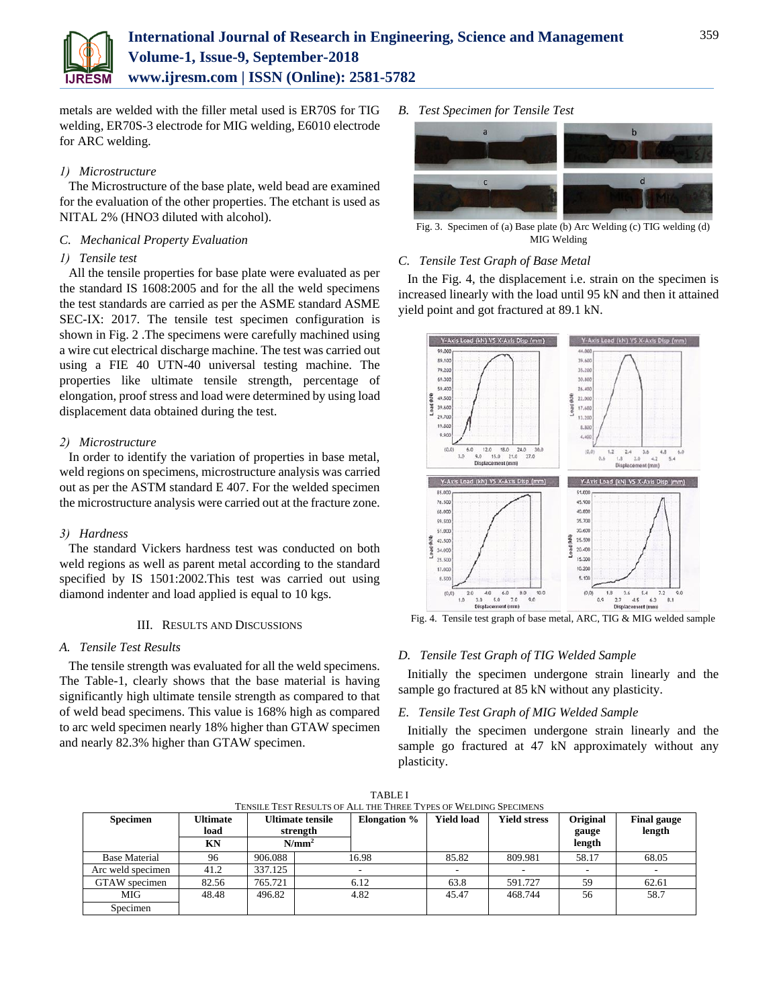

metals are welded with the filler metal used is ER70S for TIG welding, ER70S-3 electrode for MIG welding, E6010 electrode for ARC welding.

# *1) Microstructure*

The Microstructure of the base plate, weld bead are examined for the evaluation of the other properties. The etchant is used as NITAL 2% (HNO3 diluted with alcohol).

# *C. Mechanical Property Evaluation*

# *1) Tensile test*

All the tensile properties for base plate were evaluated as per the standard IS 1608:2005 and for the all the weld specimens the test standards are carried as per the ASME standard ASME SEC-IX: 2017. The tensile test specimen configuration is shown in Fig. 2 .The specimens were carefully machined using a wire cut electrical discharge machine. The test was carried out using a FIE 40 UTN-40 universal testing machine. The properties like ultimate tensile strength, percentage of elongation, proof stress and load were determined by using load displacement data obtained during the test.

# *2) Microstructure*

In order to identify the variation of properties in base metal, weld regions on specimens, microstructure analysis was carried out as per the ASTM standard E 407. For the welded specimen the microstructure analysis were carried out at the fracture zone.

# *3) Hardness*

The standard Vickers hardness test was conducted on both weld regions as well as parent metal according to the standard specified by IS 1501:2002.This test was carried out using diamond indenter and load applied is equal to 10 kgs.

# III. RESULTS AND DISCUSSIONS

# *A. Tensile Test Results*

The tensile strength was evaluated for all the weld specimens. The Table-1, clearly shows that the base material is having significantly high ultimate tensile strength as compared to that of weld bead specimens. This value is 168% high as compared to arc weld specimen nearly 18% higher than GTAW specimen and nearly 82.3% higher than GTAW specimen.

*B. Test Specimen for Tensile Test*



Fig. 3. Specimen of (a) Base plate (b) Arc Welding (c) TIG welding (d) MIG Welding

# *C. Tensile Test Graph of Base Metal*

In the Fig. 4, the displacement i.e. strain on the specimen is increased linearly with the load until 95 kN and then it attained yield point and got fractured at 89.1 kN.



Fig. 4. Tensile test graph of base metal, ARC, TIG & MIG welded sample

# *D. Tensile Test Graph of TIG Welded Sample*

Initially the specimen undergone strain linearly and the sample go fractured at 85 kN without any plasticity.

# *E. Tensile Test Graph of MIG Welded Sample*

Initially the specimen undergone strain linearly and the sample go fractured at 47 kN approximately without any plasticity.

| TENSILE TEST RESULTS OF ALL THE THREE TYPES OF WELDING SPECIMENS |                         |         |                              |                     |                   |                     |                          |                              |  |
|------------------------------------------------------------------|-------------------------|---------|------------------------------|---------------------|-------------------|---------------------|--------------------------|------------------------------|--|
| <b>Specimen</b>                                                  | <b>Ultimate</b><br>load |         | Ultimate tensile<br>strength | <b>Elongation</b> % | <b>Yield load</b> | <b>Yield stress</b> | Original<br>gauge        | <b>Final gauge</b><br>length |  |
|                                                                  | ΚN                      |         | $N/mm^2$                     |                     |                   |                     | length                   |                              |  |
| <b>Base Material</b>                                             | 96                      | 906.088 | 16.98                        |                     | 85.82             | 809.981             | 58.17                    | 68.05                        |  |
| Arc weld specimen                                                | 41.2                    | 337.125 |                              |                     |                   |                     | $\overline{\phantom{a}}$ |                              |  |
| GTAW specimen                                                    | 82.56                   | 765.721 | 6.12                         |                     | 63.8              | 591.727             | 59                       | 62.61                        |  |
| MIG                                                              | 48.48                   | 496.82  | 4.82                         |                     | 45.47             | 468.744             | 56                       | 58.7                         |  |
| Specimen                                                         |                         |         |                              |                     |                   |                     |                          |                              |  |

TABLE I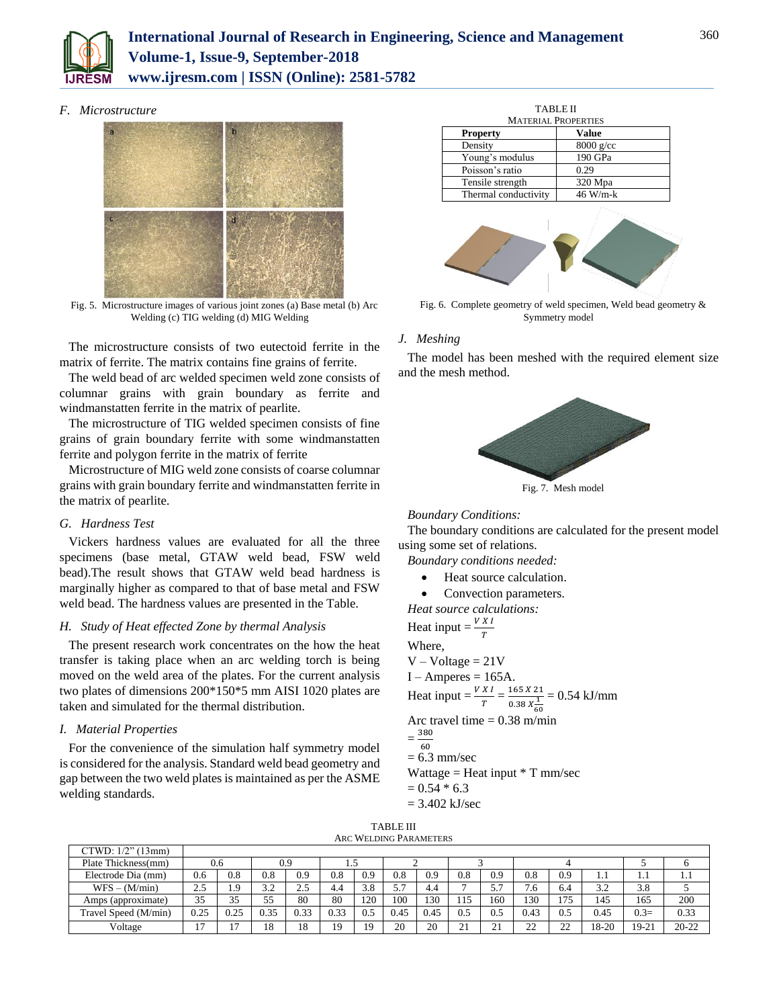

# **International Journal of Research in Engineering, Science and Management Volume-1, Issue-9, September-2018 www.ijresm.com | ISSN (Online): 2581-5782**

#### *F. Microstructure*



Fig. 5. Microstructure images of various joint zones (a) Base metal (b) Arc Welding (c) TIG welding (d) MIG Welding

The microstructure consists of two eutectoid ferrite in the matrix of ferrite. The matrix contains fine grains of ferrite.

The weld bead of arc welded specimen weld zone consists of columnar grains with grain boundary as ferrite and windmanstatten ferrite in the matrix of pearlite.

The microstructure of TIG welded specimen consists of fine grains of grain boundary ferrite with some windmanstatten ferrite and polygon ferrite in the matrix of ferrite

Microstructure of MIG weld zone consists of coarse columnar grains with grain boundary ferrite and windmanstatten ferrite in the matrix of pearlite.

### *G. Hardness Test*

Vickers hardness values are evaluated for all the three specimens (base metal, GTAW weld bead, FSW weld bead).The result shows that GTAW weld bead hardness is marginally higher as compared to that of base metal and FSW weld bead. The hardness values are presented in the Table.

#### *H. Study of Heat effected Zone by thermal Analysis*

The present research work concentrates on the how the heat transfer is taking place when an arc welding torch is being moved on the weld area of the plates. For the current analysis two plates of dimensions 200\*150\*5 mm AISI 1020 plates are taken and simulated for the thermal distribution.

### *I. Material Properties*

For the convenience of the simulation half symmetry model is considered for the analysis. Standard weld bead geometry and gap between the two weld plates is maintained as per the ASME welding standards.

| <b>TABLE II</b><br><b>MATERIAL PROPERTIES</b> |             |  |  |  |  |
|-----------------------------------------------|-------------|--|--|--|--|
| <b>Property</b>                               | Value       |  |  |  |  |
| Density                                       | $8000$ g/cc |  |  |  |  |
| Young's modulus                               | 190 GPa     |  |  |  |  |
| Poisson's ratio                               | 0.29        |  |  |  |  |
| Tensile strength                              | 320 Mpa     |  |  |  |  |
| Thermal conductivity                          | $46$ W/m-k  |  |  |  |  |



Fig. 6. Complete geometry of weld specimen, Weld bead geometry & Symmetry model

# *J. Meshing*

The model has been meshed with the required element size and the mesh method.



Fig. 7. Mesh model

#### *Boundary Conditions:*

The boundary conditions are calculated for the present model using some set of relations.

*Boundary conditions needed:*

- Heat source calculation.
- Convection parameters.

*Heat source calculations:*

Heat input  $=\frac{V X I}{T}$ Where,  $V - Voltage = 21V$ 

 $I - Amperes = 165A$ .

Heat input  $=$   $\frac{V X I}{T} = \frac{165 X 21}{0.38 X \frac{1}{10}}$  $0.38 X_{60}^{1}$  $= 0.54$  kJ/mm Arc travel time  $= 0.38$  m/min

 $=\frac{380}{60}$ 60  $= 6.3$  mm/sec Wattage = Heat input  $*$  T mm/sec

 $= 0.54 * 6.3$ 

= 3.402 kJ/sec

| <b>TABLE III</b>       |  |
|------------------------|--|
| ARC WELDING PARAMETERS |  |

| CTWD: 1/2" (13mm)    |                |      |           |      |          |          |             |      |              |                         |              |               |       |        |           |
|----------------------|----------------|------|-----------|------|----------|----------|-------------|------|--------------|-------------------------|--------------|---------------|-------|--------|-----------|
| Plate Thickness(mm)  |                | 0.6  |           | 0.9  | 1.5      |          |             |      |              |                         |              |               |       |        |           |
| Electrode Dia (mm)   | 0.6            | 0.8  | 0.8       | 0.9  | $_{0.8}$ | 0.9      | 0.8         | 0.9  | 0.8          | 0.9                     | $_{0.8}$     | 0.9           | 1.1   | 1.1    | 1.1       |
| $WFS - (M/min)$      | 2.5            | 1.9  | 3つ<br>ے ۔ | 2.5  | 4.4      | 3.8      | 57<br>، ، ب | 4.4  | $\mathbf{r}$ | 57<br>،                 | 0.           | 6.4           | 3.2   | 3.8    |           |
| Amps (approximate)   | 35             | 35   | 55        | 80   | 80       | 120      | 100         | 130  | 115          | 160                     | 130          | 175           | 145   | 165    | 200       |
| Travel Speed (M/min) | 0.25           | 0.25 | 0.35      | 0.33 | 0.33     | $_{0.5}$ | 0.45        | 0.45 | 0.5          | 0.5                     | 0.43         | 0.5           | 0.45  | $0.3=$ | 0.33      |
| Voltage              | $\overline{ }$ |      | 18        | 18   | 19       | 19       | 20          | 20   | 21           | $\mathbf{\hat{i}}$<br>∸ | $\sim$<br>∠∠ | $\gamma$<br>∸ | 18-20 | 19-21  | $20 - 22$ |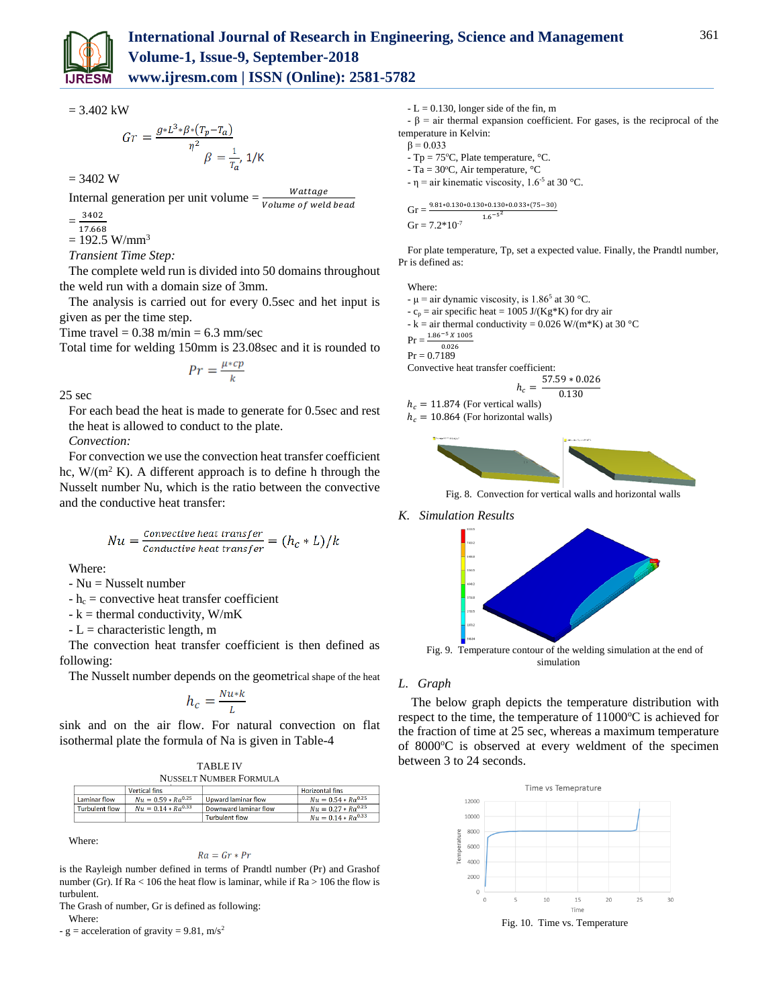

 $= 3.402$  kW

$$
Gr = \frac{g * L^3 * \beta * (T_p - T_a)}{\eta^2} \beta = \frac{1}{T_a}, 1/K
$$

$$
= 3402 \, W
$$

Internal generation per unit volume  $=\frac{Wattage}{(1-x^2)^2}$ Volume of weld bead

= 3402

17.668

 $= 192.5$  W/mm<sup>3</sup>

*Transient Time Step:*

The complete weld run is divided into 50 domains throughout the weld run with a domain size of 3mm.

The analysis is carried out for every 0.5sec and het input is given as per the time step.

Time travel  $= 0.38$  m/min  $= 6.3$  mm/sec

I

Total time for welding 150mm is 23.08sec and it is rounded to

$$
Pr = \frac{\mu * cp}{k}
$$

25 sec

For each bead the heat is made to generate for 0.5sec and rest the heat is allowed to conduct to the plate.

*Convection:*

For convection we use the convection heat transfer coefficient hc,  $W/(m^2 K)$ . A different approach is to define h through the Nusselt number Nu, which is the ratio between the convective and the conductive heat transfer:

$$
Nu = \frac{Convective heat transfer}{Conductive heat transfer} = (h_c * L)/k
$$

Where:

- Nu = Nusselt number

 $-h_c$  = convective heat transfer coefficient

 $-k =$  thermal conductivity, W/mK

 $-L = characteristic length, m$ 

The convection heat transfer coefficient is then defined as following:

The Nusselt number depends on the geometrical shape of the heat

$$
h_c = \frac{Nu*k}{L}
$$

sink and on the air flow. For natural convection on flat isothermal plate the formula of Na is given in Table-4

|                               | <b>TABLE IV</b> |  |
|-------------------------------|-----------------|--|
| <b>NUSSELT NUMBER FORMULA</b> |                 |  |

|                | <b>Vertical fins</b>    |                       | Horizontal fins         |
|----------------|-------------------------|-----------------------|-------------------------|
| Laminar flow   | $Nu = 0.59 * Ra^{0.25}$ | Upward laminar flow   | $Nu = 0.54 * Ra^{0.25}$ |
| Turbulent flow | $Nu = 0.14 * Ra^{0.33}$ | Downward laminar flow | $Nu = 0.27 * Ra^{0.25}$ |
|                |                         | <b>Turbulent flow</b> | $Nu = 0.14 * Ra^{0.33}$ |

Where:

$$
Ra = Gr * Pr
$$

is the Rayleigh number defined in terms of Prandtl number (Pr) and Grashof number (Gr). If  $Ra < 106$  the heat flow is laminar, while if  $Ra > 106$  the flow is turbulent.

The Grash of number, Gr is defined as following:

Where:

- g = acceleration of gravity =  $9.81$ , m/s<sup>2</sup>

 $-L = 0.130$ , longer side of the fin, m

 $-\beta$  = air thermal expansion coefficient. For gases, is the reciprocal of the temperature in Kelvin:

```
β = 0.033
```
 $- Tp = 75^{\circ}C$ , Plate temperature,  $\degree C$ .

 $- Ta = 30^{\circ}C$ , Air temperature,  $°C$ 

 $-\eta$  = air kinematic viscosity, 1.6<sup>-5</sup> at 30 °C.

$$
Gr = \frac{9.81*0.130*0.130*0.130*0.033*(75-30)}{1.6^{-5^2}}
$$
  
 
$$
Gr = 7.2*10^{-7}
$$

For plate temperature, Tp, set a expected value. Finally, the Prandtl number, Pr is defined as:

Where:

-  $\mu$  = air dynamic viscosity, is 1.86<sup>5</sup> at 30 °C.

-  $c_p$  = air specific heat = 1005 J/(Kg\*K) for dry air

- k = air thermal conductivity = 0.026 W/(m\*K) at 30 °C

 $Pr = \frac{1.86^{-5} X 1005}{1000}$ 0.026

 $Pr = 0.7189$ 

Convective heat transfer coefficient:

$$
h_c = \frac{57.59 * 0.026}{0.130}
$$

 $h_c = 11.874$  (For vertical walls)

 $h_c = 10.864$  (For horizontal walls)



Fig. 8. Convection for vertical walls and horizontal walls

#### *K. Simulation Results*



#### *L. Graph*

The below graph depicts the temperature distribution with respect to the time, the temperature of  $11000^{\circ}$ C is achieved for the fraction of time at 25 sec, whereas a maximum temperature of 8000°C is observed at every weldment of the specimen between 3 to 24 seconds.



Fig. 10. Time vs. Temperature